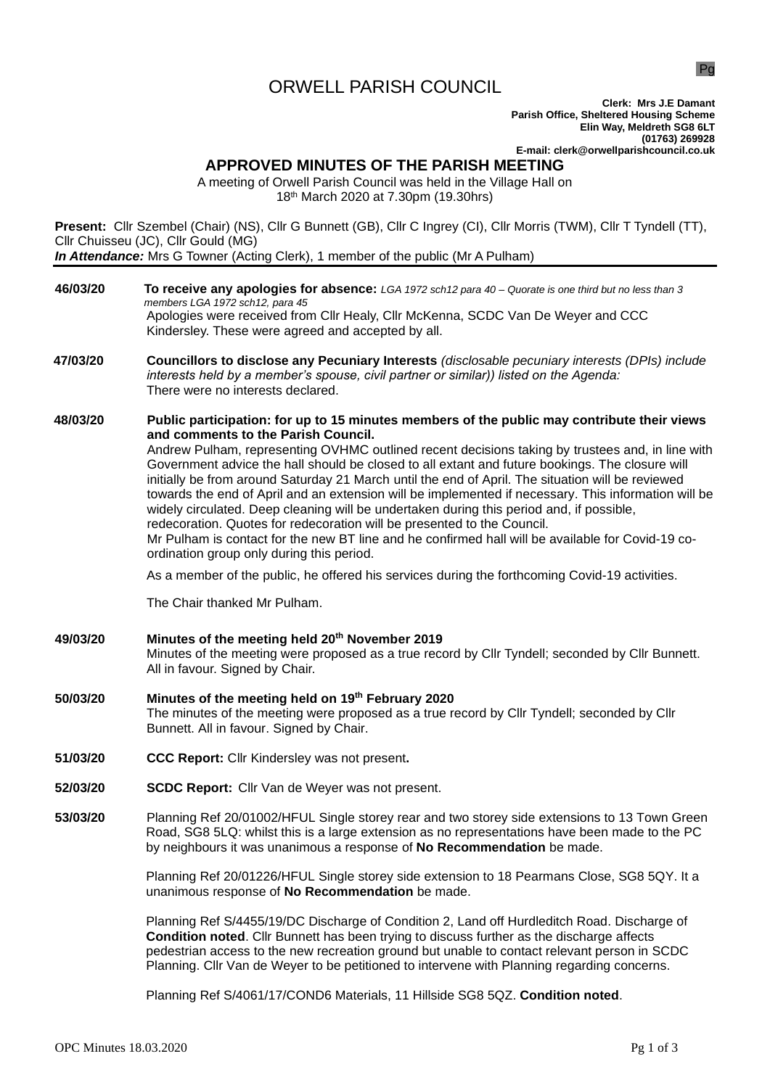# ORWELL PARISH COUNCIL

Pg

**Clerk: Mrs J.E Damant Parish Office, Sheltered Housing Scheme Elin Way, Meldreth SG8 6LT (01763) 269928 E-mail: clerk@orwellparishcouncil.co.uk**

## **APPROVED MINUTES OF THE PARISH MEETING**

A meeting of Orwell Parish Council was held in the Village Hall on 18th March 2020 at 7.30pm (19.30hrs)

**Present:** Cllr Szembel (Chair) (NS), Cllr G Bunnett (GB), Cllr C Ingrey (CI), Cllr Morris (TWM), Cllr T Tyndell (TT), Cllr Chuisseu (JC), Cllr Gould (MG) *In Attendance:* Mrs G Towner (Acting Clerk), 1 member of the public (Mr A Pulham)

- **46/03/20 To receive any apologies for absence:** *LGA 1972 sch12 para 40 – Quorate is one third but no less than 3 members LGA 1972 sch12, para 45* Apologies were received from Cllr Healy, Cllr McKenna, SCDC Van De Weyer and CCC Kindersley. These were agreed and accepted by all.
- **47/03/20 Councillors to disclose any Pecuniary Interests** *(disclosable pecuniary interests (DPIs) include interests held by a member's spouse, civil partner or similar)) listed on the Agenda:* There were no interests declared.
- **48/03/20 Public participation: for up to 15 minutes members of the public may contribute their views and comments to the Parish Council.**

Andrew Pulham, representing OVHMC outlined recent decisions taking by trustees and, in line with Government advice the hall should be closed to all extant and future bookings. The closure will initially be from around Saturday 21 March until the end of April. The situation will be reviewed towards the end of April and an extension will be implemented if necessary. This information will be widely circulated. Deep cleaning will be undertaken during this period and, if possible, redecoration. Quotes for redecoration will be presented to the Council. Mr Pulham is contact for the new BT line and he confirmed hall will be available for Covid-19 coordination group only during this period.

As a member of the public, he offered his services during the forthcoming Covid-19 activities.

The Chair thanked Mr Pulham.

**49/03/20 Minutes of the meeting held 20th November 2019**

Minutes of the meeting were proposed as a true record by Cllr Tyndell; seconded by Cllr Bunnett. All in favour. Signed by Chair.

- **50/03/20 Minutes of the meeting held on 19th February 2020** The minutes of the meeting were proposed as a true record by Cllr Tyndell; seconded by Cllr Bunnett. All in favour. Signed by Chair.
- **51/03/20 CCC Report:** Cllr Kindersley was not present**.**
- **52/03/20 SCDC Report:** Cllr Van de Weyer was not present.
- **53/03/20** Planning Ref 20/01002/HFUL Single storey rear and two storey side extensions to 13 Town Green Road, SG8 5LQ: whilst this is a large extension as no representations have been made to the PC by neighbours it was unanimous a response of **No Recommendation** be made.

Planning Ref 20/01226/HFUL Single storey side extension to 18 Pearmans Close, SG8 5QY. It a unanimous response of **No Recommendation** be made.

Planning Ref S/4455/19/DC Discharge of Condition 2, Land off Hurdleditch Road. Discharge of **Condition noted**. Cllr Bunnett has been trying to discuss further as the discharge affects pedestrian access to the new recreation ground but unable to contact relevant person in SCDC Planning. Cllr Van de Weyer to be petitioned to intervene with Planning regarding concerns.

Planning Ref S/4061/17/COND6 Materials, 11 Hillside SG8 5QZ. **Condition noted**.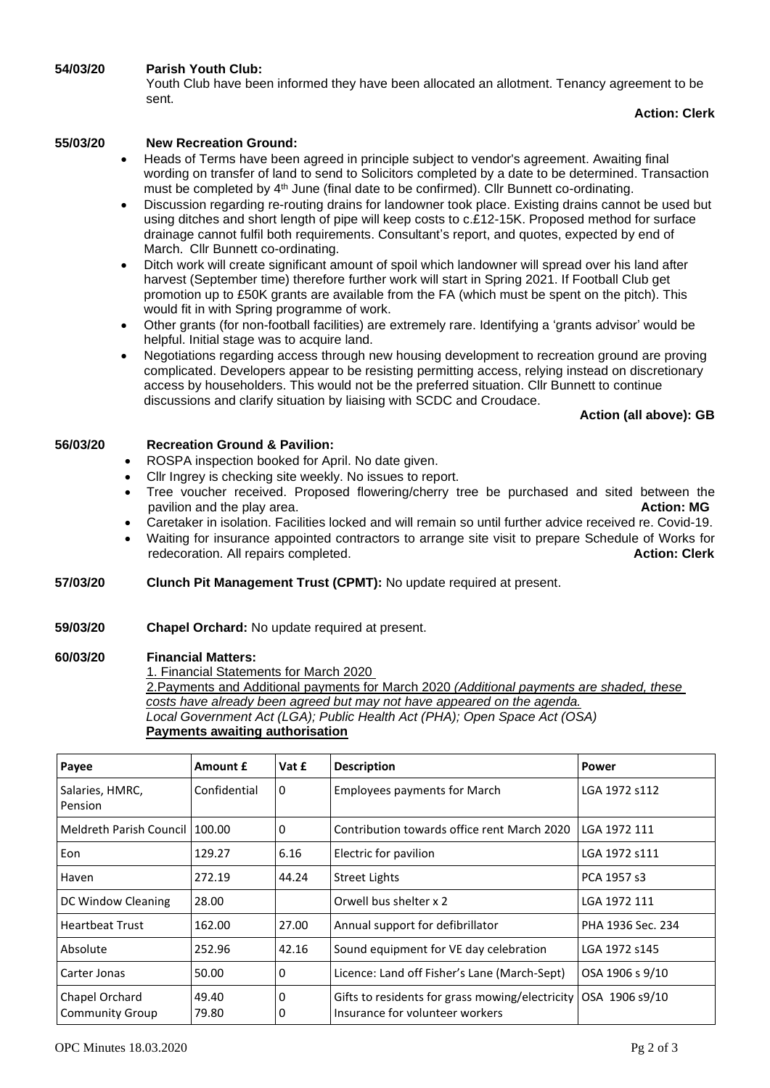## **54/03/20 Parish Youth Club:**

Youth Club have been informed they have been allocated an allotment. Tenancy agreement to be sent.

## **Action: Clerk**

## **55/03/20 New Recreation Ground:**

- Heads of Terms have been agreed in principle subject to vendor's agreement. Awaiting final wording on transfer of land to send to Solicitors completed by a date to be determined. Transaction must be completed by 4th June (final date to be confirmed). Cllr Bunnett co-ordinating.
- Discussion regarding re-routing drains for landowner took place. Existing drains cannot be used but using ditches and short length of pipe will keep costs to c.£12-15K. Proposed method for surface drainage cannot fulfil both requirements. Consultant's report, and quotes, expected by end of March. Cllr Bunnett co-ordinating.
- Ditch work will create significant amount of spoil which landowner will spread over his land after harvest (September time) therefore further work will start in Spring 2021. If Football Club get promotion up to £50K grants are available from the FA (which must be spent on the pitch). This would fit in with Spring programme of work.
- Other grants (for non-football facilities) are extremely rare. Identifying a 'grants advisor' would be helpful. Initial stage was to acquire land.
- Negotiations regarding access through new housing development to recreation ground are proving complicated. Developers appear to be resisting permitting access, relying instead on discretionary access by householders. This would not be the preferred situation. Cllr Bunnett to continue discussions and clarify situation by liaising with SCDC and Croudace.

## **Action (all above): GB**

## **56/03/20 Recreation Ground & Pavilion:**

- ROSPA inspection booked for April. No date given.
- Cllr Ingrey is checking site weekly. No issues to report.
- Tree voucher received. Proposed flowering/cherry tree be purchased and sited between the pavilion and the play area. **Action: MG** pavilion and the play area.
- Caretaker in isolation. Facilities locked and will remain so until further advice received re. Covid-19.
- Waiting for insurance appointed contractors to arrange site visit to prepare Schedule of Works for redecoration. All repairs completed. **Action: Clerk Action: Clerk Action: Clerk**
- **57/03/20 Clunch Pit Management Trust (CPMT):** No update required at present.
- **59/03/20 Chapel Orchard:** No update required at present.

#### **60/03/20 Financial Matters:**

1. Financial Statements for March 2020 2.Payments and Additional payments for March 2020 *(Additional payments are shaded, these costs have already been agreed but may not have appeared on the agenda. Local Government Act (LGA); Public Health Act (PHA); Open Space Act (OSA)* **Payments awaiting authorisation**

| Payee                             | <b>Amount £</b> | Vat £  | <b>Description</b>                                                                 | Power             |
|-----------------------------------|-----------------|--------|------------------------------------------------------------------------------------|-------------------|
| Salaries, HMRC,<br>Pension        | Confidential    | 0      | <b>Employees payments for March</b>                                                | LGA 1972 s112     |
| Meldreth Parish Council 100.00    |                 | 0      | Contribution towards office rent March 2020                                        | LGA 1972 111      |
| Eon                               | 129.27          | 6.16   | Electric for pavilion                                                              | LGA 1972 s111     |
| Haven                             | 272.19          | 44.24  | <b>Street Lights</b>                                                               | PCA 1957 s3       |
| DC Window Cleaning                | 28.00           |        | Orwell bus shelter x 2                                                             | LGA 1972 111      |
| Heartbeat Trust                   | 162.00          | 27.00  | Annual support for defibrillator                                                   | PHA 1936 Sec. 234 |
| Absolute                          | 252.96          | 42.16  | Sound equipment for VE day celebration                                             | LGA 1972 s145     |
| Carter Jonas                      | 50.00           | 0      | Licence: Land off Fisher's Lane (March-Sept)                                       | OSA 1906 s 9/10   |
| Chapel Orchard<br>Community Group | 49.40<br>79.80  | 0<br>0 | Gifts to residents for grass mowing/electricity<br>Insurance for volunteer workers | OSA 1906 s9/10    |